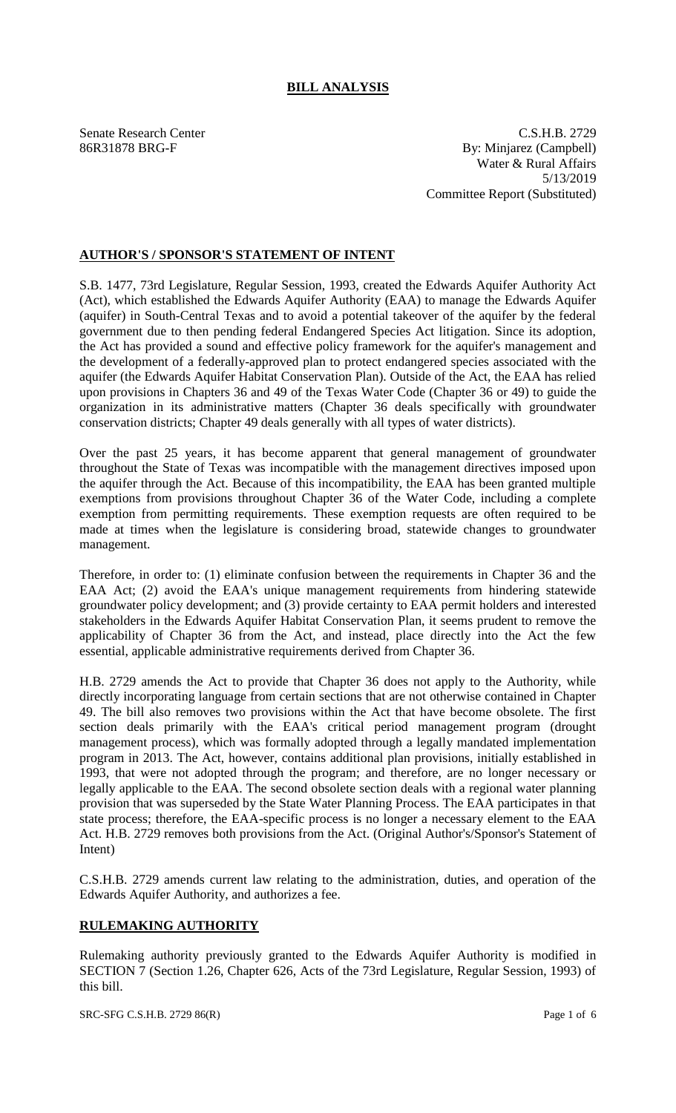## **BILL ANALYSIS**

Senate Research Center C.S.H.B. 2729 86R31878 BRG-F By: Minjarez (Campbell) Water & Rural Affairs 5/13/2019 Committee Report (Substituted)

## **AUTHOR'S / SPONSOR'S STATEMENT OF INTENT**

S.B. 1477, 73rd Legislature, Regular Session, 1993, created the Edwards Aquifer Authority Act (Act), which established the Edwards Aquifer Authority (EAA) to manage the Edwards Aquifer (aquifer) in South-Central Texas and to avoid a potential takeover of the aquifer by the federal government due to then pending federal Endangered Species Act litigation. Since its adoption, the Act has provided a sound and effective policy framework for the aquifer's management and the development of a federally-approved plan to protect endangered species associated with the aquifer (the Edwards Aquifer Habitat Conservation Plan). Outside of the Act, the EAA has relied upon provisions in Chapters 36 and 49 of the Texas Water Code (Chapter 36 or 49) to guide the organization in its administrative matters (Chapter 36 deals specifically with groundwater conservation districts; Chapter 49 deals generally with all types of water districts).

Over the past 25 years, it has become apparent that general management of groundwater throughout the State of Texas was incompatible with the management directives imposed upon the aquifer through the Act. Because of this incompatibility, the EAA has been granted multiple exemptions from provisions throughout Chapter 36 of the Water Code, including a complete exemption from permitting requirements. These exemption requests are often required to be made at times when the legislature is considering broad, statewide changes to groundwater management.

Therefore, in order to: (1) eliminate confusion between the requirements in Chapter 36 and the EAA Act; (2) avoid the EAA's unique management requirements from hindering statewide groundwater policy development; and (3) provide certainty to EAA permit holders and interested stakeholders in the Edwards Aquifer Habitat Conservation Plan, it seems prudent to remove the applicability of Chapter 36 from the Act, and instead, place directly into the Act the few essential, applicable administrative requirements derived from Chapter 36.

H.B. 2729 amends the Act to provide that Chapter 36 does not apply to the Authority, while directly incorporating language from certain sections that are not otherwise contained in Chapter 49. The bill also removes two provisions within the Act that have become obsolete. The first section deals primarily with the EAA's critical period management program (drought management process), which was formally adopted through a legally mandated implementation program in 2013. The Act, however, contains additional plan provisions, initially established in 1993, that were not adopted through the program; and therefore, are no longer necessary or legally applicable to the EAA. The second obsolete section deals with a regional water planning provision that was superseded by the State Water Planning Process. The EAA participates in that state process; therefore, the EAA-specific process is no longer a necessary element to the EAA Act. H.B. 2729 removes both provisions from the Act. (Original Author's/Sponsor's Statement of Intent)

C.S.H.B. 2729 amends current law relating to the administration, duties, and operation of the Edwards Aquifer Authority, and authorizes a fee.

## **RULEMAKING AUTHORITY**

Rulemaking authority previously granted to the Edwards Aquifer Authority is modified in SECTION 7 (Section 1.26, Chapter 626, Acts of the 73rd Legislature, Regular Session, 1993) of this bill.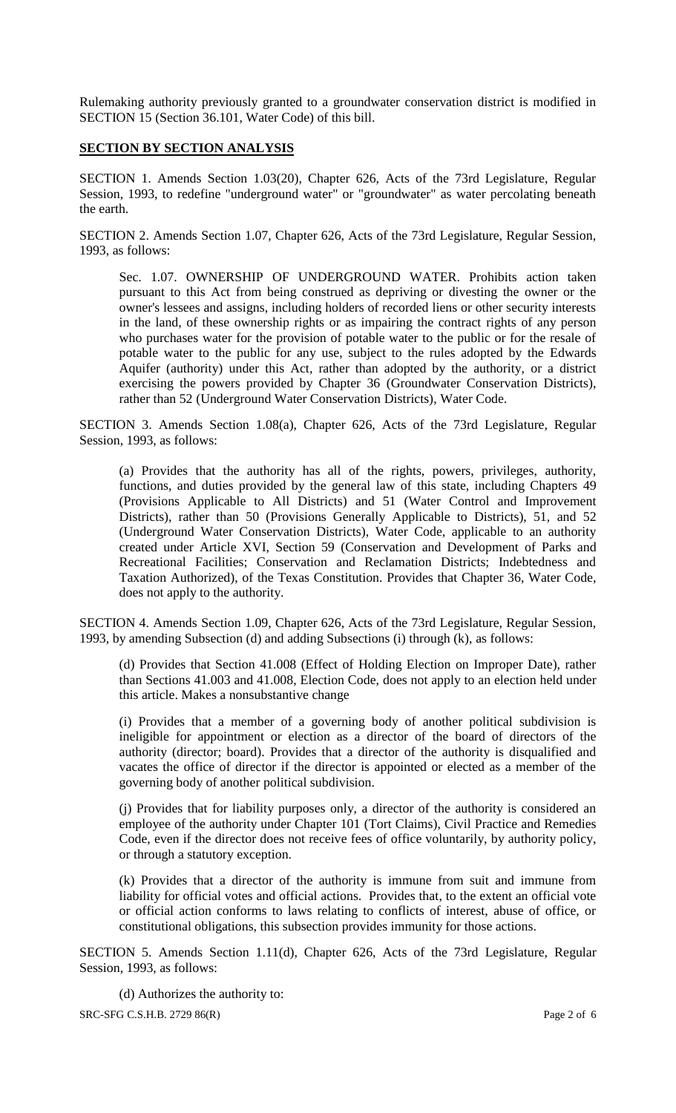Rulemaking authority previously granted to a groundwater conservation district is modified in SECTION 15 (Section 36.101, Water Code) of this bill.

## **SECTION BY SECTION ANALYSIS**

SECTION 1. Amends Section 1.03(20), Chapter 626, Acts of the 73rd Legislature, Regular Session, 1993, to redefine "underground water" or "groundwater" as water percolating beneath the earth.

SECTION 2. Amends Section 1.07, Chapter 626, Acts of the 73rd Legislature, Regular Session, 1993, as follows:

Sec. 1.07. OWNERSHIP OF UNDERGROUND WATER. Prohibits action taken pursuant to this Act from being construed as depriving or divesting the owner or the owner's lessees and assigns, including holders of recorded liens or other security interests in the land, of these ownership rights or as impairing the contract rights of any person who purchases water for the provision of potable water to the public or for the resale of potable water to the public for any use, subject to the rules adopted by the Edwards Aquifer (authority) under this Act, rather than adopted by the authority, or a district exercising the powers provided by Chapter 36 (Groundwater Conservation Districts), rather than 52 (Underground Water Conservation Districts), Water Code.

SECTION 3. Amends Section 1.08(a), Chapter 626, Acts of the 73rd Legislature, Regular Session, 1993, as follows:

(a) Provides that the authority has all of the rights, powers, privileges, authority, functions, and duties provided by the general law of this state, including Chapters 49 (Provisions Applicable to All Districts) and 51 (Water Control and Improvement Districts), rather than 50 (Provisions Generally Applicable to Districts), 51, and 52 (Underground Water Conservation Districts), Water Code, applicable to an authority created under Article XVI, Section 59 (Conservation and Development of Parks and Recreational Facilities; Conservation and Reclamation Districts; Indebtedness and Taxation Authorized), of the Texas Constitution. Provides that Chapter 36, Water Code, does not apply to the authority.

SECTION 4. Amends Section 1.09, Chapter 626, Acts of the 73rd Legislature, Regular Session, 1993, by amending Subsection (d) and adding Subsections (i) through (k), as follows:

(d) Provides that Section 41.008 (Effect of Holding Election on Improper Date), rather than Sections 41.003 and 41.008, Election Code, does not apply to an election held under this article. Makes a nonsubstantive change

(i) Provides that a member of a governing body of another political subdivision is ineligible for appointment or election as a director of the board of directors of the authority (director; board). Provides that a director of the authority is disqualified and vacates the office of director if the director is appointed or elected as a member of the governing body of another political subdivision.

(j) Provides that for liability purposes only, a director of the authority is considered an employee of the authority under Chapter 101 (Tort Claims), Civil Practice and Remedies Code, even if the director does not receive fees of office voluntarily, by authority policy, or through a statutory exception.

(k) Provides that a director of the authority is immune from suit and immune from liability for official votes and official actions. Provides that, to the extent an official vote or official action conforms to laws relating to conflicts of interest, abuse of office, or constitutional obligations, this subsection provides immunity for those actions.

SECTION 5. Amends Section 1.11(d), Chapter 626, Acts of the 73rd Legislature, Regular Session, 1993, as follows:

SRC-SFG C.S.H.B. 2729 86(R) Page 2 of 6 (d) Authorizes the authority to: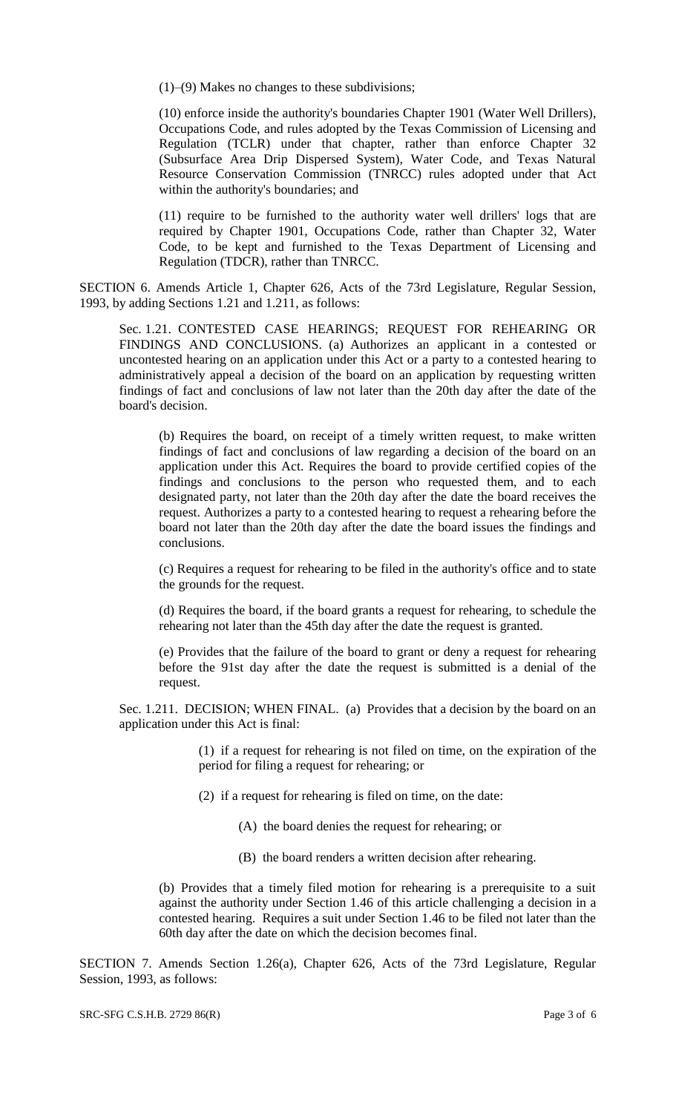(1)–(9) Makes no changes to these subdivisions;

(10) enforce inside the authority's boundaries Chapter 1901 (Water Well Drillers), Occupations Code, and rules adopted by the Texas Commission of Licensing and Regulation (TCLR) under that chapter, rather than enforce Chapter 32 (Subsurface Area Drip Dispersed System), Water Code, and Texas Natural Resource Conservation Commission (TNRCC) rules adopted under that Act within the authority's boundaries; and

(11) require to be furnished to the authority water well drillers' logs that are required by Chapter 1901, Occupations Code, rather than Chapter 32, Water Code, to be kept and furnished to the Texas Department of Licensing and Regulation (TDCR), rather than TNRCC.

SECTION 6. Amends Article 1, Chapter 626, Acts of the 73rd Legislature, Regular Session, 1993, by adding Sections 1.21 and 1.211, as follows:

Sec. 1.21. CONTESTED CASE HEARINGS; REQUEST FOR REHEARING OR FINDINGS AND CONCLUSIONS. (a) Authorizes an applicant in a contested or uncontested hearing on an application under this Act or a party to a contested hearing to administratively appeal a decision of the board on an application by requesting written findings of fact and conclusions of law not later than the 20th day after the date of the board's decision.

(b) Requires the board, on receipt of a timely written request, to make written findings of fact and conclusions of law regarding a decision of the board on an application under this Act. Requires the board to provide certified copies of the findings and conclusions to the person who requested them, and to each designated party, not later than the 20th day after the date the board receives the request. Authorizes a party to a contested hearing to request a rehearing before the board not later than the 20th day after the date the board issues the findings and conclusions.

(c) Requires a request for rehearing to be filed in the authority's office and to state the grounds for the request.

(d) Requires the board, if the board grants a request for rehearing, to schedule the rehearing not later than the 45th day after the date the request is granted.

(e) Provides that the failure of the board to grant or deny a request for rehearing before the 91st day after the date the request is submitted is a denial of the request.

Sec. 1.211. DECISION; WHEN FINAL. (a) Provides that a decision by the board on an application under this Act is final:

> (1) if a request for rehearing is not filed on time, on the expiration of the period for filing a request for rehearing; or

- (2) if a request for rehearing is filed on time, on the date:
	- (A) the board denies the request for rehearing; or
	- (B) the board renders a written decision after rehearing.

(b) Provides that a timely filed motion for rehearing is a prerequisite to a suit against the authority under Section 1.46 of this article challenging a decision in a contested hearing. Requires a suit under Section 1.46 to be filed not later than the 60th day after the date on which the decision becomes final.

SECTION 7. Amends Section 1.26(a), Chapter 626, Acts of the 73rd Legislature, Regular Session, 1993, as follows: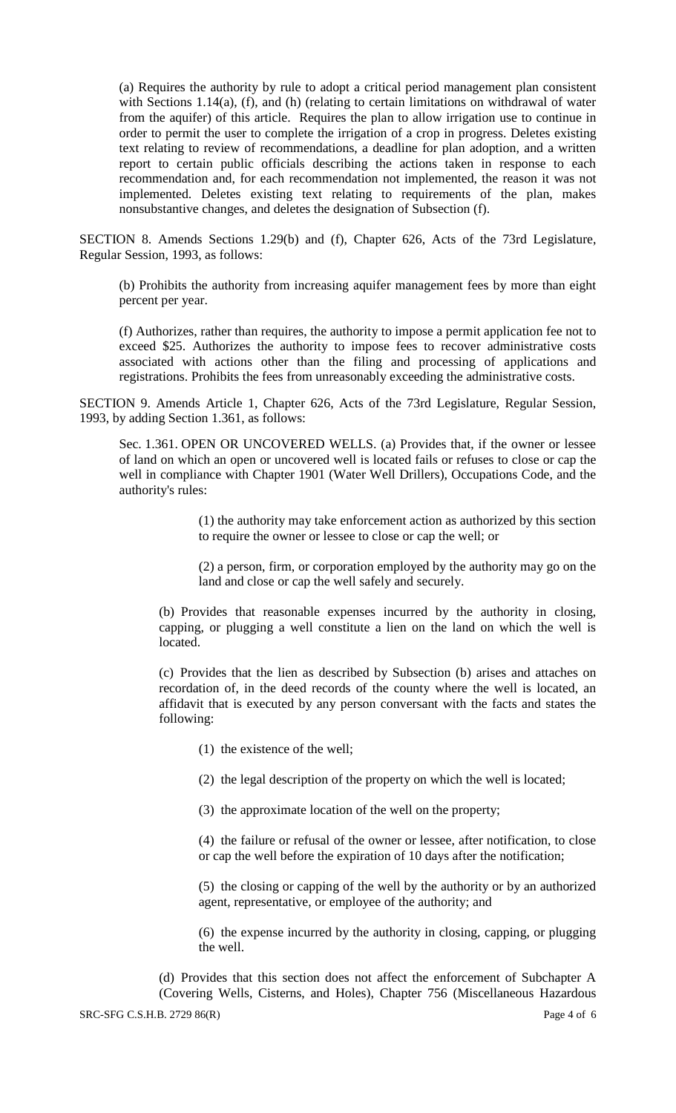(a) Requires the authority by rule to adopt a critical period management plan consistent with Sections 1.14(a), (f), and (h) (relating to certain limitations on withdrawal of water from the aquifer) of this article. Requires the plan to allow irrigation use to continue in order to permit the user to complete the irrigation of a crop in progress. Deletes existing text relating to review of recommendations, a deadline for plan adoption, and a written report to certain public officials describing the actions taken in response to each recommendation and, for each recommendation not implemented, the reason it was not implemented. Deletes existing text relating to requirements of the plan, makes nonsubstantive changes, and deletes the designation of Subsection (f).

SECTION 8. Amends Sections 1.29(b) and (f), Chapter 626, Acts of the 73rd Legislature, Regular Session, 1993, as follows:

(b) Prohibits the authority from increasing aquifer management fees by more than eight percent per year.

(f) Authorizes, rather than requires, the authority to impose a permit application fee not to exceed \$25. Authorizes the authority to impose fees to recover administrative costs associated with actions other than the filing and processing of applications and registrations. Prohibits the fees from unreasonably exceeding the administrative costs.

SECTION 9. Amends Article 1, Chapter 626, Acts of the 73rd Legislature, Regular Session, 1993, by adding Section 1.361, as follows:

Sec. 1.361. OPEN OR UNCOVERED WELLS. (a) Provides that, if the owner or lessee of land on which an open or uncovered well is located fails or refuses to close or cap the well in compliance with Chapter 1901 (Water Well Drillers), Occupations Code, and the authority's rules:

> (1) the authority may take enforcement action as authorized by this section to require the owner or lessee to close or cap the well; or

> (2) a person, firm, or corporation employed by the authority may go on the land and close or cap the well safely and securely.

(b) Provides that reasonable expenses incurred by the authority in closing, capping, or plugging a well constitute a lien on the land on which the well is located.

(c) Provides that the lien as described by Subsection (b) arises and attaches on recordation of, in the deed records of the county where the well is located, an affidavit that is executed by any person conversant with the facts and states the following:

(1) the existence of the well;

(2) the legal description of the property on which the well is located;

(3) the approximate location of the well on the property;

(4) the failure or refusal of the owner or lessee, after notification, to close or cap the well before the expiration of 10 days after the notification;

(5) the closing or capping of the well by the authority or by an authorized agent, representative, or employee of the authority; and

(6) the expense incurred by the authority in closing, capping, or plugging the well.

(d) Provides that this section does not affect the enforcement of Subchapter A (Covering Wells, Cisterns, and Holes), Chapter 756 (Miscellaneous Hazardous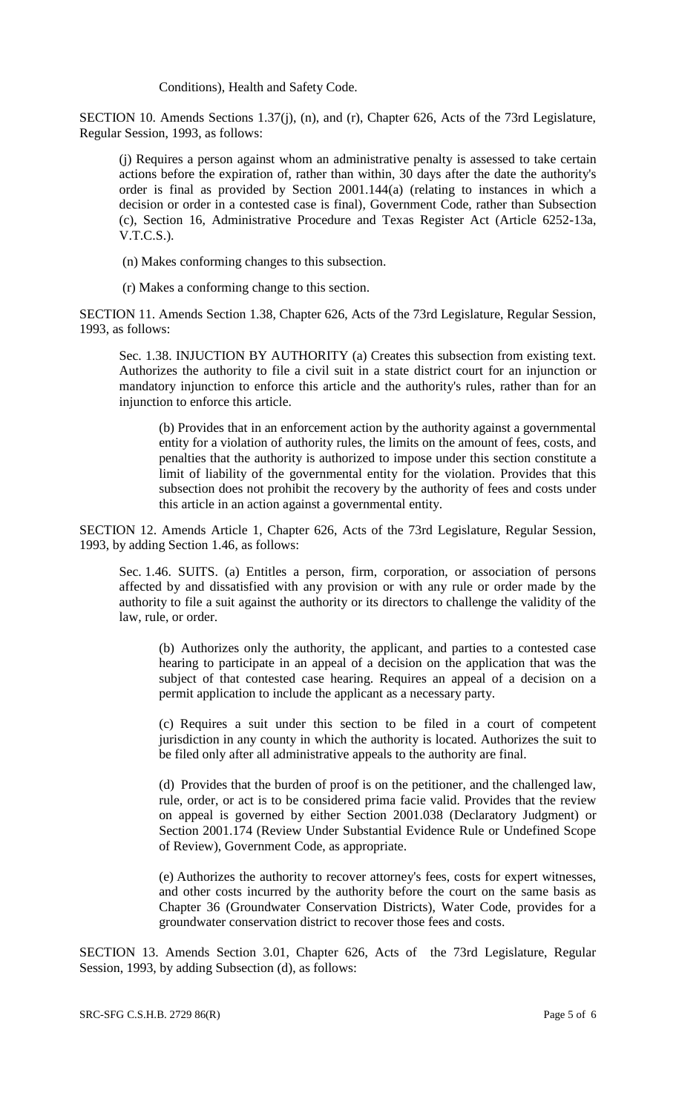Conditions), Health and Safety Code.

SECTION 10. Amends Sections 1.37(j), (n), and (r), Chapter 626, Acts of the 73rd Legislature, Regular Session, 1993, as follows:

(j) Requires a person against whom an administrative penalty is assessed to take certain actions before the expiration of, rather than within, 30 days after the date the authority's order is final as provided by Section 2001.144(a) (relating to instances in which a decision or order in a contested case is final), Government Code, rather than Subsection (c), Section 16, Administrative Procedure and Texas Register Act (Article 6252-13a, V.T.C.S.).

- (n) Makes conforming changes to this subsection.
- (r) Makes a conforming change to this section.

SECTION 11. Amends Section 1.38, Chapter 626, Acts of the 73rd Legislature, Regular Session, 1993, as follows:

Sec. 1.38. INJUCTION BY AUTHORITY (a) Creates this subsection from existing text. Authorizes the authority to file a civil suit in a state district court for an injunction or mandatory injunction to enforce this article and the authority's rules, rather than for an injunction to enforce this article.

(b) Provides that in an enforcement action by the authority against a governmental entity for a violation of authority rules, the limits on the amount of fees, costs, and penalties that the authority is authorized to impose under this section constitute a limit of liability of the governmental entity for the violation. Provides that this subsection does not prohibit the recovery by the authority of fees and costs under this article in an action against a governmental entity.

SECTION 12. Amends Article 1, Chapter 626, Acts of the 73rd Legislature, Regular Session, 1993, by adding Section 1.46, as follows:

Sec. 1.46. SUITS. (a) Entitles a person, firm, corporation, or association of persons affected by and dissatisfied with any provision or with any rule or order made by the authority to file a suit against the authority or its directors to challenge the validity of the law, rule, or order.

(b) Authorizes only the authority, the applicant, and parties to a contested case hearing to participate in an appeal of a decision on the application that was the subject of that contested case hearing. Requires an appeal of a decision on a permit application to include the applicant as a necessary party.

(c) Requires a suit under this section to be filed in a court of competent jurisdiction in any county in which the authority is located. Authorizes the suit to be filed only after all administrative appeals to the authority are final.

(d) Provides that the burden of proof is on the petitioner, and the challenged law, rule, order, or act is to be considered prima facie valid. Provides that the review on appeal is governed by either Section 2001.038 (Declaratory Judgment) or Section 2001.174 (Review Under Substantial Evidence Rule or Undefined Scope of Review), Government Code, as appropriate.

(e) Authorizes the authority to recover attorney's fees, costs for expert witnesses, and other costs incurred by the authority before the court on the same basis as Chapter 36 (Groundwater Conservation Districts), Water Code, provides for a groundwater conservation district to recover those fees and costs.

SECTION 13. Amends Section 3.01, Chapter 626, Acts of the 73rd Legislature, Regular Session, 1993, by adding Subsection (d), as follows: